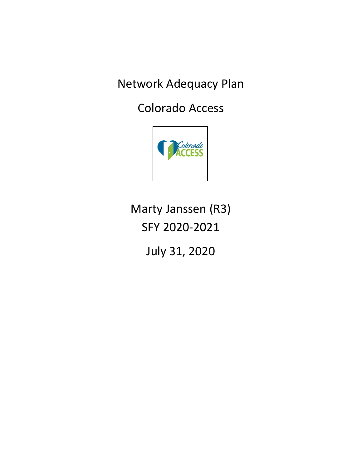Network Adequacy Plan

Colorado Access



Marty Janssen (R3) SFY 2020-2021

July 31, 2020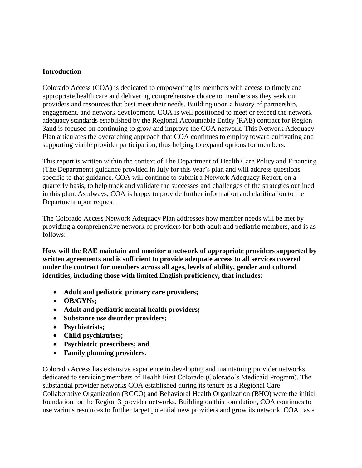#### **Introduction**

Colorado Access (COA) is dedicated to empowering its members with access to timely and appropriate health care and delivering comprehensive choice to members as they seek out providers and resources that best meet their needs. Building upon a history of partnership, engagement, and network development, COA is well positioned to meet or exceed the network adequacy standards established by the Regional Accountable Entity (RAE) contract for Region 3and is focused on continuing to grow and improve the COA network. This Network Adequacy Plan articulates the overarching approach that COA continues to employ toward cultivating and supporting viable provider participation, thus helping to expand options for members.

This report is written within the context of The Department of Health Care Policy and Financing (The Department) guidance provided in July for this year's plan and will address questions specific to that guidance. COA will continue to submit a Network Adequacy Report, on a quarterly basis, to help track and validate the successes and challenges of the strategies outlined in this plan. As always, COA is happy to provide further information and clarification to the Department upon request.

The Colorado Access Network Adequacy Plan addresses how member needs will be met by providing a comprehensive network of providers for both adult and pediatric members, and is as follows:

**How will the RAE maintain and monitor a network of appropriate providers supported by written agreements and is sufficient to provide adequate access to all services covered under the contract for members across all ages, levels of ability, gender and cultural identities, including those with limited English proficiency, that includes:** 

- **Adult and pediatric primary care providers;**
- **OB/GYNs;**
- **Adult and pediatric mental health providers;**
- **Substance use disorder providers;**
- **Psychiatrists;**
- **Child psychiatrists;**
- **Psychiatric prescribers; and**
- **Family planning providers.**

Colorado Access has extensive experience in developing and maintaining provider networks dedicated to servicing members of Health First Colorado (Colorado's Medicaid Program). The substantial provider networks COA established during its tenure as a Regional Care Collaborative Organization (RCCO) and Behavioral Health Organization (BHO) were the initial foundation for the Region 3 provider networks. Building on this foundation, COA continues to use various resources to further target potential new providers and grow its network. COA has a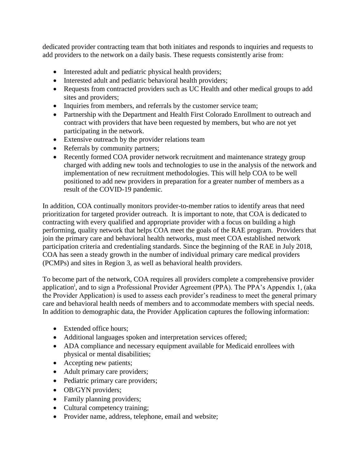dedicated provider contracting team that both initiates and responds to inquiries and requests to add providers to the network on a daily basis. These requests consistently arise from:

- Interested adult and pediatric physical health providers;
- Interested adult and pediatric behavioral health providers;
- Requests from contracted providers such as UC Health and other medical groups to add sites and providers;
- Inquiries from members, and referrals by the customer service team;
- Partnership with the Department and Health First Colorado Enrollment to outreach and contract with providers that have been requested by members, but who are not yet participating in the network.
- Extensive outreach by the provider relations team
- Referrals by community partners;
- Recently formed COA provider network recruitment and maintenance strategy group charged with adding new tools and technologies to use in the analysis of the network and implementation of new recruitment methodologies. This will help COA to be well positioned to add new providers in preparation for a greater number of members as a result of the COVID-19 pandemic.

In addition, COA continually monitors provider-to-member ratios to identify areas that need prioritization for targeted provider outreach. It is important to note, that COA is dedicated to contracting with every qualified and appropriate provider with a focus on building a high performing, quality network that helps COA meet the goals of the RAE program. Providers that join the primary care and behavioral health networks, must meet COA established network participation criteria and credentialing standards. Since the beginning of the RAE in July 2018, COA has seen a steady growth in the number of individual primary care medical providers (PCMPs) and sites in Region 3, as well as behavioral health providers.

To become part of the network, COA requires all providers complete a comprehensive provider application<sup>i</sup>, and to sign a Professional Provider Agreement (PPA). The PPA's Appendix 1, (aka the Provider Application) is used to assess each provider's readiness to meet the general primary care and behavioral health needs of members and to accommodate members with special needs. In addition to demographic data, the Provider Application captures the following information:

- Extended office hours;
- Additional languages spoken and interpretation services offered;
- ADA compliance and necessary equipment available for Medicaid enrollees with physical or mental disabilities;
- Accepting new patients;
- Adult primary care providers;
- Pediatric primary care providers;
- OB/GYN providers;
- Family planning providers;
- Cultural competency training;
- Provider name, address, telephone, email and website;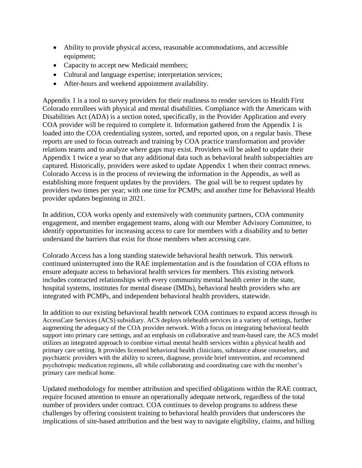- Ability to provide physical access, reasonable accommodations, and accessible equipment;
- Capacity to accept new Medicaid members;
- Cultural and language expertise; interpretation services;
- After-hours and weekend appointment availability.

Appendix 1 is a tool to survey providers for their readiness to render services to Health First Colorado enrollees with physical and mental disabilities. Compliance with the Americans with Disabilities Act (ADA) is a section noted, specifically, in the Provider Application and every COA provider will be required to complete it. Information gathered from the Appendix 1 is loaded into the COA credentialing system, sorted, and reported upon, on a regular basis. These reports are used to focus outreach and training by COA practice transformation and provider relations teams and to analyze where gaps may exist. Providers will be asked to update their Appendix 1 twice a year so that any additional data such as behavioral health subspecialties are captured. Historically, providers were asked to update Appendix 1 when their contract renews. Colorado Access is in the process of reviewing the information in the Appendix, as well as establishing more frequent updates by the providers. The goal will be to request updates by providers two times per year; with one time for PCMPs; and another time for Behavioral Health provider updates beginning in 2021.

In addition, COA works openly and extensively with community partners, COA community engagement, and member engagement teams, along with our Member Advisory Committee, to identify opportunities for increasing access to care for members with a disability and to better understand the barriers that exist for those members when accessing care.

Colorado Access has a long standing statewide behavioral health network. This network continued uninterrupted into the RAE implementation and is the foundation of COA efforts to ensure adequate access to behavioral health services for members. This existing network includes contracted relationships with every community mental health center in the state, hospital systems, institutes for mental disease (IMDs), behavioral health providers who are integrated with PCMPs, and independent behavioral health providers, statewide.

In addition to our existing behavioral health network COA continues to expand access through its AccessCare Services (ACS) subsidiary. ACS deploys telehealth services in a variety of settings, further augmenting the adequacy of the COA provider network. With a focus on integrating behavioral health support into primary care settings, and an emphasis on collaborative and team-based care, the ACS model utilizes an integrated approach to combine virtual mental health services within a physical health and primary care setting. It provides licensed behavioral health clinicians, substance abuse counselors, and psychiatric providers with the ability to screen, diagnose, provide brief intervention, and recommend psychotropic medication regimens, all while collaborating and coordinating care with the member's primary care medical home.

Updated methodology for member attribution and specified obligations within the RAE contract, require focused attention to ensure an operationally adequate network, regardless of the total number of providers under contract. COA continues to develop programs to address these challenges by offering consistent training to behavioral health providers that underscores the implications of site-based attribution and the best way to navigate eligibility, claims, and billing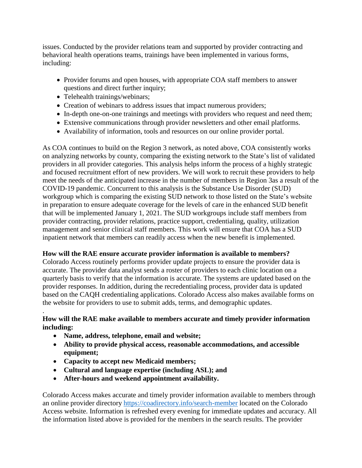issues. Conducted by the provider relations team and supported by provider contracting and behavioral health operations teams, trainings have been implemented in various forms, including:

- Provider forums and open houses, with appropriate COA staff members to answer questions and direct further inquiry;
- Telehealth trainings/webinars;
- Creation of webinars to address issues that impact numerous providers;
- In-depth one-on-one trainings and meetings with providers who request and need them;
- Extensive communications through provider newsletters and other email platforms.
- Availability of information, tools and resources on our online provider portal.

As COA continues to build on the Region 3 network, as noted above, COA consistently works on analyzing networks by county, comparing the existing network to the State's list of validated providers in all provider categories. This analysis helps inform the process of a highly strategic and focused recruitment effort of new providers. We will work to recruit these providers to help meet the needs of the anticipated increase in the number of members in Region 3as a result of the COVID-19 pandemic. Concurrent to this analysis is the Substance Use Disorder (SUD) workgroup which is comparing the existing SUD network to those listed on the State's website in preparation to ensure adequate coverage for the levels of care in the enhanced SUD benefit that will be implemented January 1, 2021. The SUD workgroups include staff members from provider contracting, provider relations, practice support, credentialing, quality, utilization management and senior clinical staff members. This work will ensure that COA has a SUD inpatient network that members can readily access when the new benefit is implemented.

#### **How will the RAE ensure accurate provider information is available to members?**

Colorado Access routinely performs provider update projects to ensure the provider data is accurate. The provider data analyst sends a roster of providers to each clinic location on a quarterly basis to verify that the information is accurate. The systems are updated based on the provider responses. In addition, during the recredentialing process, provider data is updated based on the CAQH credentialing applications. Colorado Access also makes available forms on the website for providers to use to submit adds, terms, and demographic updates.

### **How will the RAE make available to members accurate and timely provider information including:**

• **Name, address, telephone, email and website;** 

.

- **Ability to provide physical access, reasonable accommodations, and accessible equipment;**
- **Capacity to accept new Medicaid members;**
- **Cultural and language expertise (including ASL); and**
- **After-hours and weekend appointment availability.**

Colorado Access makes accurate and timely provider information available to members through an online provider directory<https://coadirectory.info/search-member> located on the Colorado Access website. Information is refreshed every evening for immediate updates and accuracy. All the information listed above is provided for the members in the search results. The provider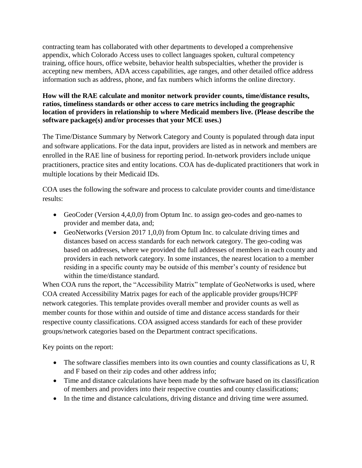contracting team has collaborated with other departments to developed a comprehensive appendix, which Colorado Access uses to collect languages spoken, cultural competency training, office hours, office website, behavior health subspecialties, whether the provider is accepting new members, ADA access capabilities, age ranges, and other detailed office address information such as address, phone, and fax numbers which informs the online directory.

## **How will the RAE calculate and monitor network provider counts, time/distance results, ratios, timeliness standards or other access to care metrics including the geographic location of providers in relationship to where Medicaid members live. (Please describe the software package(s) and/or processes that your MCE uses.)**

The Time/Distance Summary by Network Category and County is populated through data input and software applications. For the data input, providers are listed as in network and members are enrolled in the RAE line of business for reporting period. In-network providers include unique practitioners, practice sites and entity locations. COA has de-duplicated practitioners that work in multiple locations by their Medicaid IDs.

COA uses the following the software and process to calculate provider counts and time/distance results:

- GeoCoder (Version 4,4,0,0) from Optum Inc. to assign geo-codes and geo-names to provider and member data, and;
- GeoNetworks (Version 2017 1,0,0) from Optum Inc. to calculate driving times and distances based on access standards for each network category. The geo-coding was based on addresses, where we provided the full addresses of members in each county and providers in each network category. In some instances, the nearest location to a member residing in a specific county may be outside of this member's county of residence but within the time/distance standard.

When COA runs the report, the "Accessibility Matrix" template of GeoNetworks is used, where COA created Accessibility Matrix pages for each of the applicable provider groups/HCPF network categories. This template provides overall member and provider counts as well as member counts for those within and outside of time and distance access standards for their respective county classifications. COA assigned access standards for each of these provider groups/network categories based on the Department contract specifications.

Key points on the report:

- The software classifies members into its own counties and county classifications as U, R and F based on their zip codes and other address info;
- Time and distance calculations have been made by the software based on its classification of members and providers into their respective counties and county classifications;
- In the time and distance calculations, driving distance and driving time were assumed.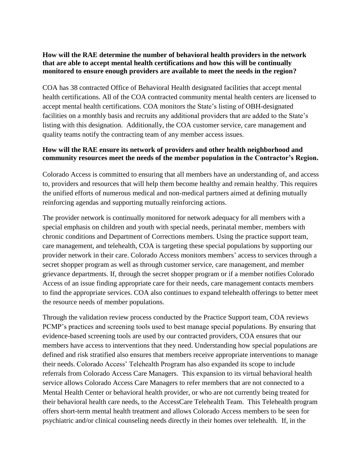## **How will the RAE determine the number of behavioral health providers in the network that are able to accept mental health certifications and how this will be continually monitored to ensure enough providers are available to meet the needs in the region?**

COA has 38 contracted Office of Behavioral Health designated facilities that accept mental health certifications. All of the COA contracted community mental health centers are licensed to accept mental health certifications. COA monitors the State's listing of OBH-designated facilities on a monthly basis and recruits any additional providers that are added to the State's listing with this designation. Additionally, the COA customer service, care management and quality teams notify the contracting team of any member access issues.

# **How will the RAE ensure its network of providers and other health neighborhood and community resources meet the needs of the member population in the Contractor's Region.**

Colorado Access is committed to ensuring that all members have an understanding of, and access to, providers and resources that will help them become healthy and remain healthy. This requires the unified efforts of numerous medical and non-medical partners aimed at defining mutually reinforcing agendas and supporting mutually reinforcing actions.

The provider network is continually monitored for network adequacy for all members with a special emphasis on children and youth with special needs, perinatal member, members with chronic conditions and Department of Corrections members. Using the practice support team, care management, and telehealth, COA is targeting these special populations by supporting our provider network in their care. Colorado Access monitors members' access to services through a secret shopper program as well as through customer service, care management, and member grievance departments. If, through the secret shopper program or if a member notifies Colorado Access of an issue finding appropriate care for their needs, care management contacts members to find the appropriate services. COA also continues to expand telehealth offerings to better meet the resource needs of member populations.

Through the validation review process conducted by the Practice Support team, COA reviews PCMP's practices and screening tools used to best manage special populations. By ensuring that evidence-based screening tools are used by our contracted providers, COA ensures that our members have access to interventions that they need. Understanding how special populations are defined and risk stratified also ensures that members receive appropriate interventions to manage their needs. Colorado Access' Telehealth Program has also expanded its scope to include referrals from Colorado Access Care Managers. This expansion to its virtual behavioral health service allows Colorado Access Care Managers to refer members that are not connected to a Mental Health Center or behavioral health provider, or who are not currently being treated for their behavioral health care needs, to the AccessCare Telehealth Team. This Telehealth program offers short-term mental health treatment and allows Colorado Access members to be seen for psychiatric and/or clinical counseling needs directly in their homes over telehealth. If, in the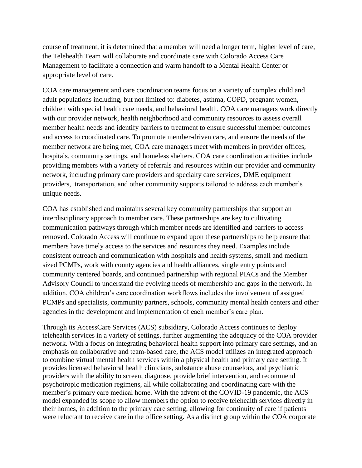course of treatment, it is determined that a member will need a longer term, higher level of care, the Telehealth Team will collaborate and coordinate care with Colorado Access Care Management to facilitate a connection and warm handoff to a Mental Health Center or appropriate level of care.

COA care management and care coordination teams focus on a variety of complex child and adult populations including, but not limited to: diabetes, asthma, COPD, pregnant women, children with special health care needs, and behavioral health. COA care managers work directly with our provider network, health neighborhood and community resources to assess overall member health needs and identify barriers to treatment to ensure successful member outcomes and access to coordinated care. To promote member-driven care, and ensure the needs of the member network are being met, COA care managers meet with members in provider offices, hospitals, community settings, and homeless shelters. COA care coordination activities include providing members with a variety of referrals and resources within our provider and community network, including primary care providers and specialty care services, DME equipment providers, transportation, and other community supports tailored to address each member's unique needs.

COA has established and maintains several key community partnerships that support an interdisciplinary approach to member care. These partnerships are key to cultivating communication pathways through which member needs are identified and barriers to access removed. Colorado Access will continue to expand upon these partnerships to help ensure that members have timely access to the services and resources they need. Examples include consistent outreach and communication with hospitals and health systems, small and medium sized PCMPs, work with county agencies and health alliances, single entry points and community centered boards, and continued partnership with regional PIACs and the Member Advisory Council to understand the evolving needs of membership and gaps in the network. In addition, COA children's care coordination workflows includes the involvement of assigned PCMPs and specialists, community partners, schools, community mental health centers and other agencies in the development and implementation of each member's care plan.

Through its AccessCare Services (ACS) subsidiary, Colorado Access continues to deploy telehealth services in a variety of settings, further augmenting the adequacy of the COA provider network. With a focus on integrating behavioral health support into primary care settings, and an emphasis on collaborative and team-based care, the ACS model utilizes an integrated approach to combine virtual mental health services within a physical health and primary care setting. It provides licensed behavioral health clinicians, substance abuse counselors, and psychiatric providers with the ability to screen, diagnose, provide brief intervention, and recommend psychotropic medication regimens, all while collaborating and coordinating care with the member's primary care medical home. With the advent of the COVID-19 pandemic, the ACS model expanded its scope to allow members the option to receive telehealth services directly in their homes, in addition to the primary care setting, allowing for continuity of care if patients were reluctant to receive care in the office setting. As a distinct group within the COA corporate